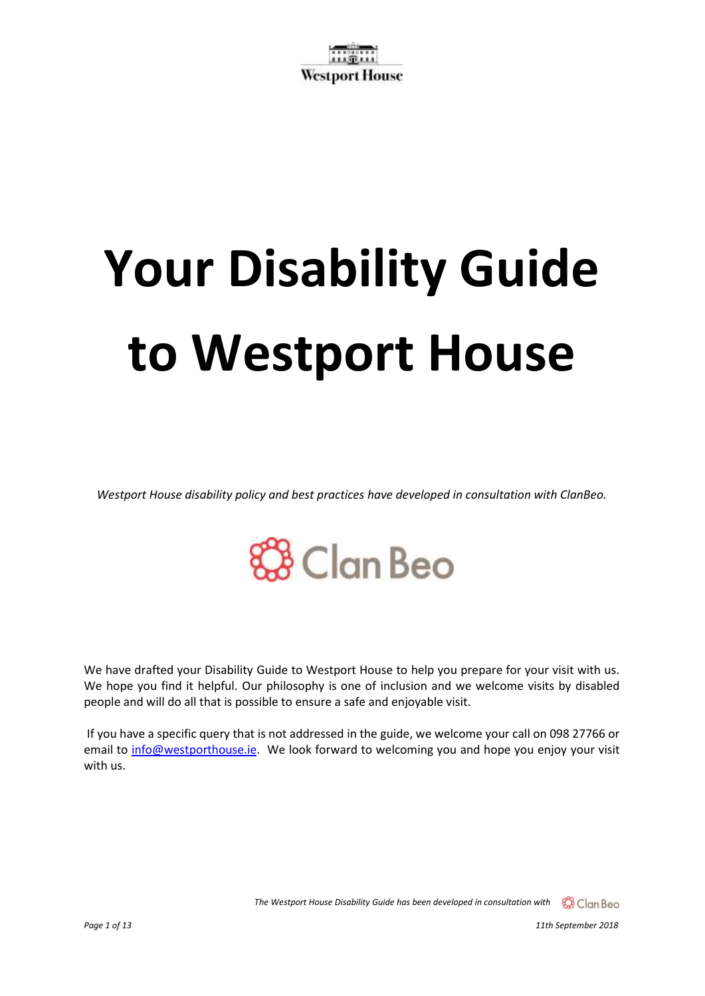# **Your Disability Guide to Westport House**

*Westport House disability policy and best practices have developed in consultation with ClanBeo.* 

# **&B** Clan Beo

We have drafted your Disability Guide to Westport House to help you prepare for your visit with us. We hope you find it helpful. Our philosophy is one of inclusion and we welcome visits by disabled people and will do all that is possible to ensure a safe and enjoyable visit.

If you have a specific query that is not addressed in the guide, we welcome your call on 098 27766 or email to [info@westporthouse.ie.](mailto:info@westporthouse.ie) We look forward to welcoming you and hope you enjoy your visit with us.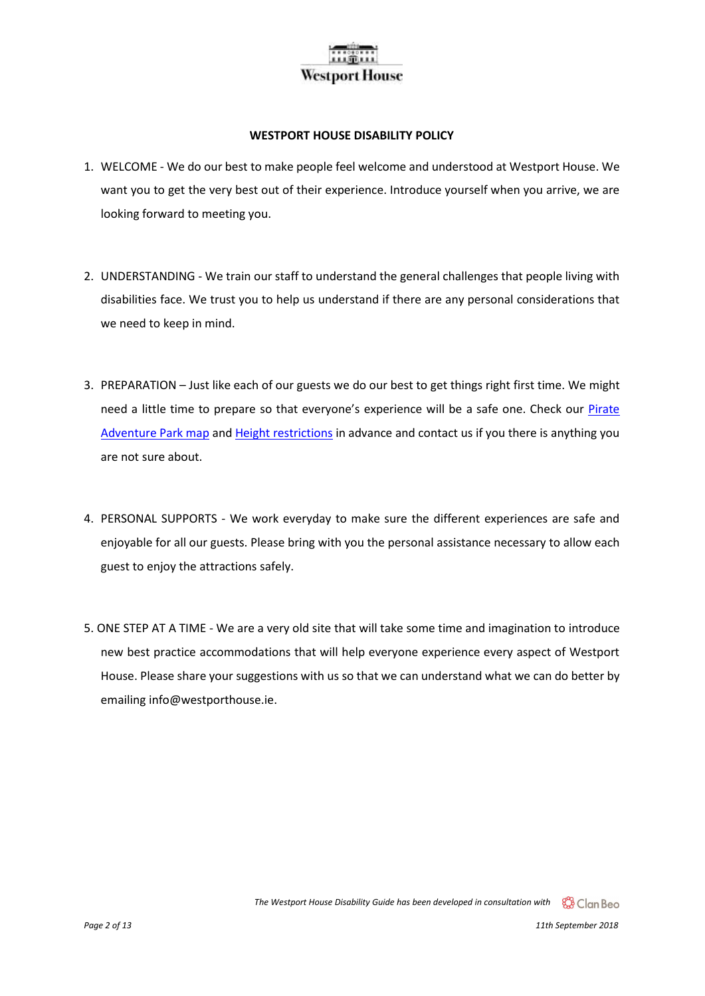#### **WESTPORT HOUSE DISABILITY POLICY**

- 1. WELCOME We do our best to make people feel welcome and understood at Westport House. We want you to get the very best out of their experience. Introduce yourself when you arrive, we are looking forward to meeting you.
- 2. UNDERSTANDING We train our staff to understand the general challenges that people living with disabilities face. We trust you to help us understand if there are any personal considerations that we need to keep in mind.
- 3. PREPARATION Just like each of our guests we do our best to get things right first time. We might need a little time to prepare so that everyone's experience will be a safe one. Check our [Pirate](https://www.westporthouse.ie/pirate-adventure-park/park-map/)  [Adventure Park map](https://www.westporthouse.ie/pirate-adventure-park/park-map/) an[d Height restrictions](https://www.westporthouse.ie/pirate-adventure-park/height-restrictions/) in advance and contact us if you there is anything you are not sure about.
- 4. PERSONAL SUPPORTS We work everyday to make sure the different experiences are safe and enjoyable for all our guests. Please bring with you the personal assistance necessary to allow each guest to enjoy the attractions safely.
- 5. ONE STEP AT A TIME We are a very old site that will take some time and imagination to introduce new best practice accommodations that will help everyone experience every aspect of Westport House. Please share your suggestions with us so that we can understand what we can do better by emailing info@westporthouse.ie.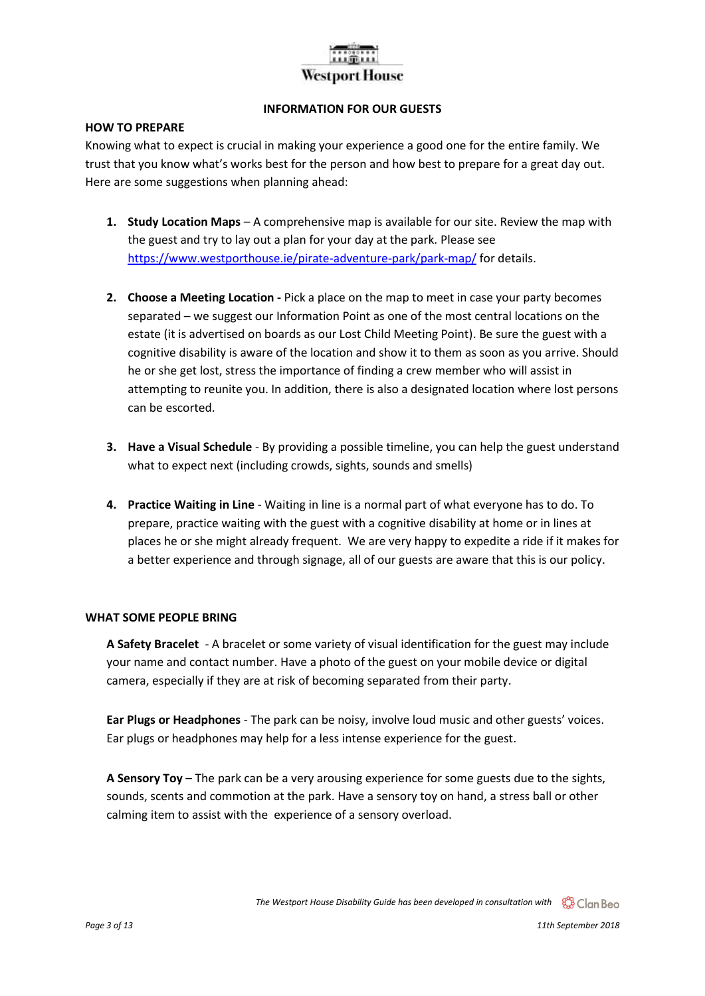#### **INFORMATION FOR OUR GUESTS**

#### **HOW TO PREPARE**

Knowing what to expect is crucial in making your experience a good one for the entire family. We trust that you know what's works best for the person and how best to prepare for a great day out. Here are some suggestions when planning ahead:

- **1. Study Location Maps** A comprehensive map is available for our site. Review the map with the guest and try to lay out a plan for your day at the park. Please see <https://www.westporthouse.ie/pirate-adventure-park/park-map/> for details.
- **2. Choose a Meeting Location -** Pick a place on the map to meet in case your party becomes separated – we suggest our Information Point as one of the most central locations on the estate (it is advertised on boards as our Lost Child Meeting Point). Be sure the guest with a cognitive disability is aware of the location and show it to them as soon as you arrive. Should he or she get lost, stress the importance of finding a crew member who will assist in attempting to reunite you. In addition, there is also a designated location where lost persons can be escorted.
- **3. Have a Visual Schedule** By providing a possible timeline, you can help the guest understand what to expect next (including crowds, sights, sounds and smells)
- **4. Practice Waiting in Line** Waiting in line is a normal part of what everyone has to do. To prepare, practice waiting with the guest with a cognitive disability at home or in lines at places he or she might already frequent. We are very happy to expedite a ride if it makes for a better experience and through signage, all of our guests are aware that this is our policy.

#### **WHAT SOME PEOPLE BRING**

**A Safety Bracelet** - A bracelet or some variety of visual identification for the guest may include your name and contact number. Have a photo of the guest on your mobile device or digital camera, especially if they are at risk of becoming separated from their party.

**Ear Plugs or Headphones** - The park can be noisy, involve loud music and other guests' voices. Ear plugs or headphones may help for a less intense experience for the guest.

**A Sensory Toy** – The park can be a very arousing experience for some guests due to the sights, sounds, scents and commotion at the park. Have a sensory toy on hand, a stress ball or other calming item to assist with the experience of a sensory overload.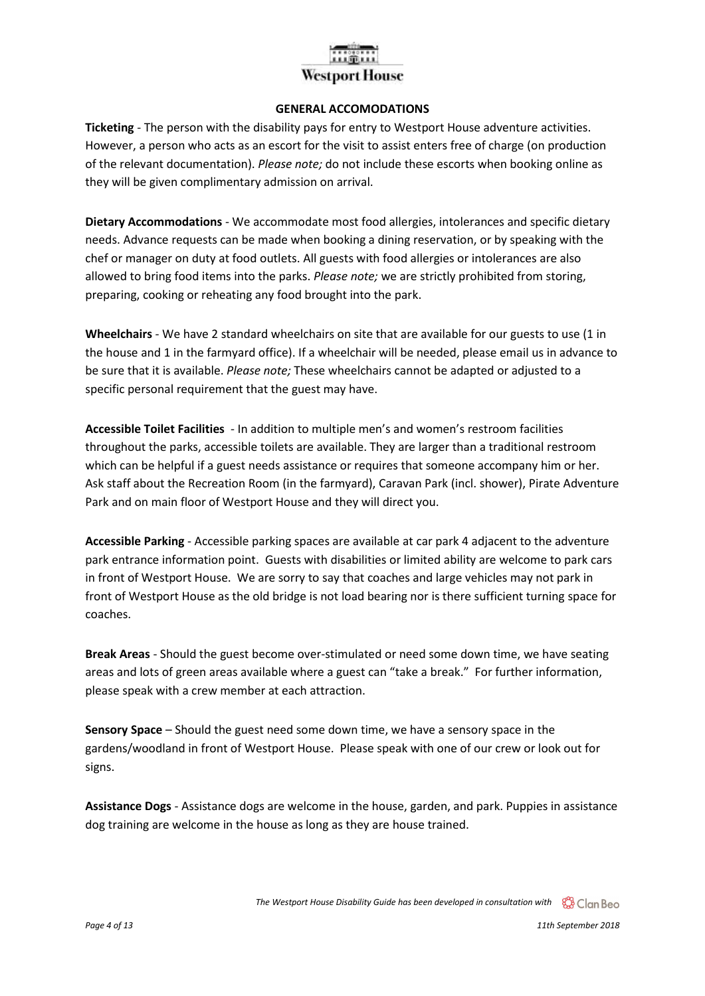#### **GENERAL ACCOMODATIONS**

**Ticketing** - The person with the disability pays for entry to Westport House adventure activities. However, a person who acts as an escort for the visit to assist enters free of charge (on production of the relevant documentation). *Please note;* do not include these escorts when booking online as they will be given complimentary admission on arrival.

**Dietary Accommodations** - We accommodate most food allergies, intolerances and specific dietary needs. Advance requests can be made when booking a dining reservation, or by speaking with the chef or manager on duty at food outlets. All guests with food allergies or intolerances are also allowed to bring food items into the parks. *Please note;* we are strictly prohibited from storing, preparing, cooking or reheating any food brought into the park.

**Wheelchairs** - We have 2 standard wheelchairs on site that are available for our guests to use (1 in the house and 1 in the farmyard office). If a wheelchair will be needed, please email us in advance to be sure that it is available. *Please note;* These wheelchairs cannot be adapted or adjusted to a specific personal requirement that the guest may have.

**Accessible Toilet Facilities** - In addition to multiple men's and women's restroom facilities throughout the parks, accessible toilets are available. They are larger than a traditional restroom which can be helpful if a guest needs assistance or requires that someone accompany him or her. Ask staff about the Recreation Room (in the farmyard), Caravan Park (incl. shower), Pirate Adventure Park and on main floor of Westport House and they will direct you.

**Accessible Parking** - Accessible parking spaces are available at car park 4 adjacent to the adventure park entrance information point. Guests with disabilities or limited ability are welcome to park cars in front of Westport House. We are sorry to say that coaches and large vehicles may not park in front of Westport House as the old bridge is not load bearing nor is there sufficient turning space for coaches.

**Break Areas** - Should the guest become over-stimulated or need some down time, we have seating areas and lots of green areas available where a guest can "take a break." For further information, please speak with a crew member at each attraction.

**Sensory Space** – Should the guest need some down time, we have a sensory space in the gardens/woodland in front of Westport House. Please speak with one of our crew or look out for signs.

**Assistance Dogs** - Assistance dogs are welcome in the house, garden, and park. Puppies in assistance dog training are welcome in the house as long as they are house trained.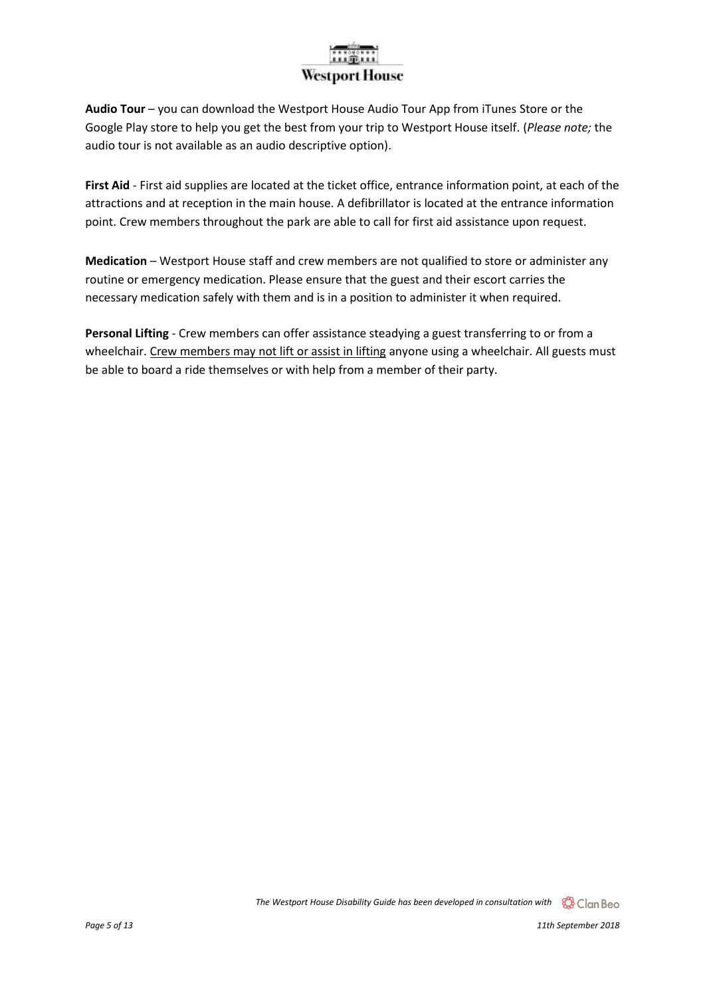**Audio Tour** – you can download the Westport House Audio Tour App from iTunes Store or the Google Play store to help you get the best from your trip to Westport House itself. (*Please note;* the audio tour is not available as an audio descriptive option).

**First Aid** - First aid supplies are located at the ticket office, entrance information point, at each of the attractions and at reception in the main house. A defibrillator is located at the entrance information point. Crew members throughout the park are able to call for first aid assistance upon request.

**Medication** – Westport House staff and crew members are not qualified to store or administer any routine or emergency medication. Please ensure that the guest and their escort carries the necessary medication safely with them and is in a position to administer it when required.

**Personal Lifting** - Crew members can offer assistance steadying a guest transferring to or from a wheelchair. Crew members may not lift or assist in lifting anyone using a wheelchair. All guests must be able to board a ride themselves or with help from a member of their party.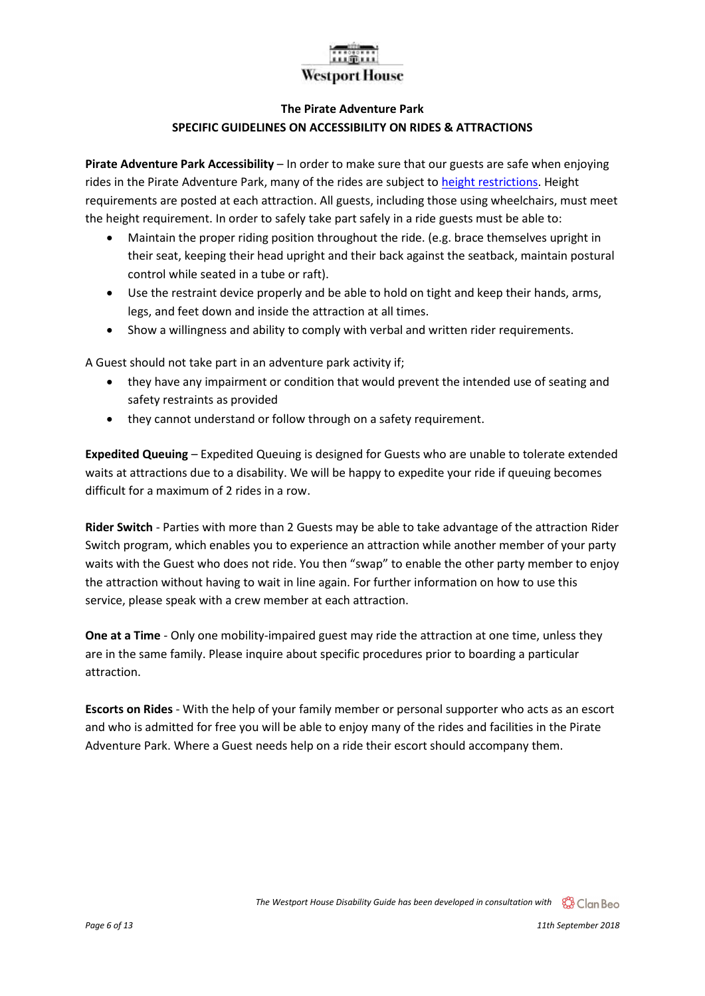#### **The Pirate Adventure Park SPECIFIC GUIDELINES ON ACCESSIBILITY ON RIDES & ATTRACTIONS**

**Pirate Adventure Park Accessibility** – In order to make sure that our guests are safe when enjoying rides in the Pirate Adventure Park, many of the rides are subject to [height restrictions.](https://www.westporthouse.ie/pirate-adventure-park/height-restrictions/) Height requirements are posted at each attraction. All guests, including those using wheelchairs, must meet the height requirement. In order to safely take part safely in a ride guests must be able to:

- Maintain the proper riding position throughout the ride. (e.g. brace themselves upright in their seat, keeping their head upright and their back against the seatback, maintain postural control while seated in a tube or raft).
- Use the restraint device properly and be able to hold on tight and keep their hands, arms, legs, and feet down and inside the attraction at all times.
- Show a willingness and ability to comply with verbal and written rider requirements.

A Guest should not take part in an adventure park activity if;

- they have any impairment or condition that would prevent the intended use of seating and safety restraints as provided
- they cannot understand or follow through on a safety requirement.

**Expedited Queuing** – Expedited Queuing is designed for Guests who are unable to tolerate extended waits at attractions due to a disability. We will be happy to expedite your ride if queuing becomes difficult for a maximum of 2 rides in a row.

**Rider Switch** - Parties with more than 2 Guests may be able to take advantage of the attraction [Rider](https://disneyworld.disney.go.com/en_GB/guest-services/rider-switch/) [Switch](https://disneyworld.disney.go.com/en_GB/guest-services/rider-switch/) program, which enables you to experience an attraction while another member of your party waits with the Guest who does not ride. You then "swap" to enable the other party member to enjoy the attraction without having to wait in line again. For further information on how to use this service, please speak with a crew member at each attraction.

**One at a Time** - Only one mobility-impaired guest may ride the attraction at one time, unless they are in the same family. Please inquire about specific procedures prior to boarding a particular attraction.

**Escorts on Rides** - With the help of your family member or personal supporter who acts as an escort and who is admitted for free you will be able to enjoy many of the rides and facilities in the Pirate Adventure Park. Where a Guest needs help on a ride their escort should accompany them.

*Page 6 of 13 11th September 2018*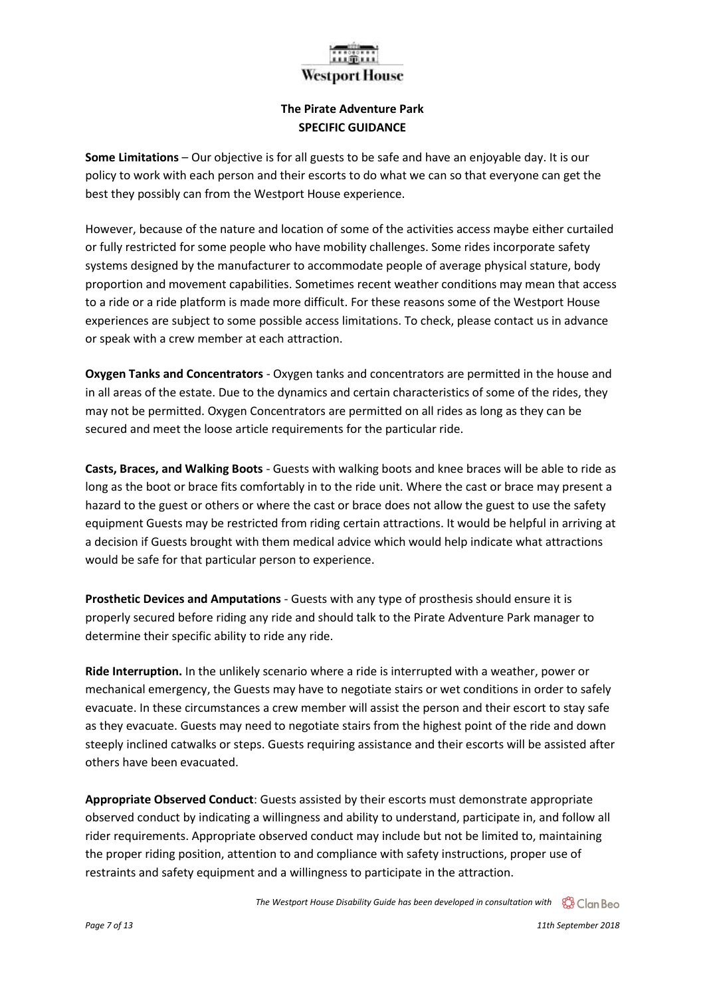### Westpo

#### **The Pirate Adventure Park SPECIFIC GUIDANCE**

**Some Limitations** – Our objective is for all guests to be safe and have an enjoyable day. It is our policy to work with each person and their escorts to do what we can so that everyone can get the best they possibly can from the Westport House experience.

However, because of the nature and location of some of the activities access maybe either curtailed or fully restricted for some people who have mobility challenges. Some rides incorporate safety systems designed by the manufacturer to accommodate people of average physical stature, body proportion and movement capabilities. Sometimes recent weather conditions may mean that access to a ride or a ride platform is made more difficult. For these reasons some of the Westport House experiences are subject to some possible access limitations. To check, please contact us in advance or speak with a crew member at each attraction.

**Oxygen Tanks and Concentrators** - Oxygen tanks and concentrators are permitted in the house and in all areas of the estate. Due to the dynamics and certain characteristics of some of the rides, they may not be permitted. Oxygen Concentrators are permitted on all rides as long as they can be secured and meet the loose article requirements for the particular ride.

**Casts, Braces, and Walking Boots** - Guests with walking boots and knee braces will be able to ride as long as the boot or brace fits comfortably in to the ride unit. Where the cast or brace may present a hazard to the guest or others or where the cast or brace does not allow the guest to use the safety equipment Guests may be restricted from riding certain attractions. It would be helpful in arriving at a decision if Guests brought with them medical advice which would help indicate what attractions would be safe for that particular person to experience.

**Prosthetic Devices and Amputations** - Guests with any type of prosthesis should ensure it is properly secured before riding any ride and should talk to the Pirate Adventure Park manager to determine their specific ability to ride any ride.

**Ride Interruption.** In the unlikely scenario where a ride is interrupted with a weather, power or mechanical emergency, the Guests may have to negotiate stairs or wet conditions in order to safely evacuate. In these circumstances a crew member will assist the person and their escort to stay safe as they evacuate. Guests may need to negotiate stairs from the highest point of the ride and down steeply inclined catwalks or steps. Guests requiring assistance and their escorts will be assisted after others have been evacuated.

**Appropriate Observed Conduct**: Guests assisted by their escorts must demonstrate appropriate observed conduct by indicating a willingness and ability to understand, participate in, and follow all rider requirements. Appropriate observed conduct may include but not be limited to, maintaining the proper riding position, attention to and compliance with safety instructions, proper use of restraints and safety equipment and a willingness to participate in the attraction.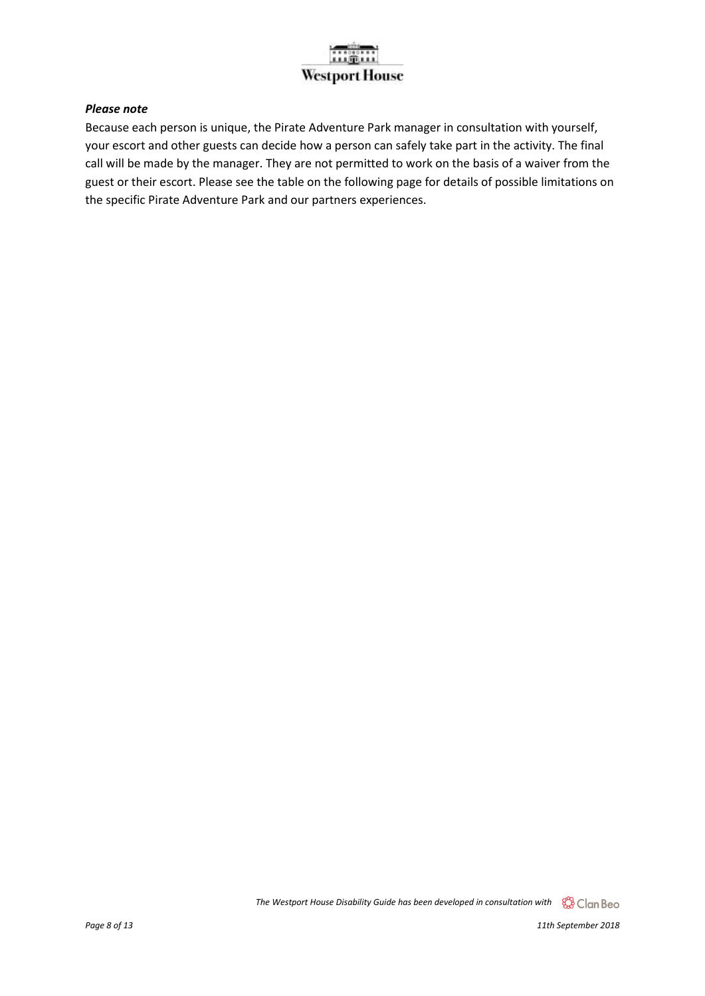#### *Please note*

Because each person is unique, the Pirate Adventure Park manager in consultation with yourself, your escort and other guests can decide how a person can safely take part in the activity. The final call will be made by the manager. They are not permitted to work on the basis of a waiver from the guest or their escort. Please see the table on the following page for details of possible limitations on the specific Pirate Adventure Park and our partners experiences.

*The Westport House Disability Guide has been developed in consultation with* 

*Page 8 of 13 11th September 2018*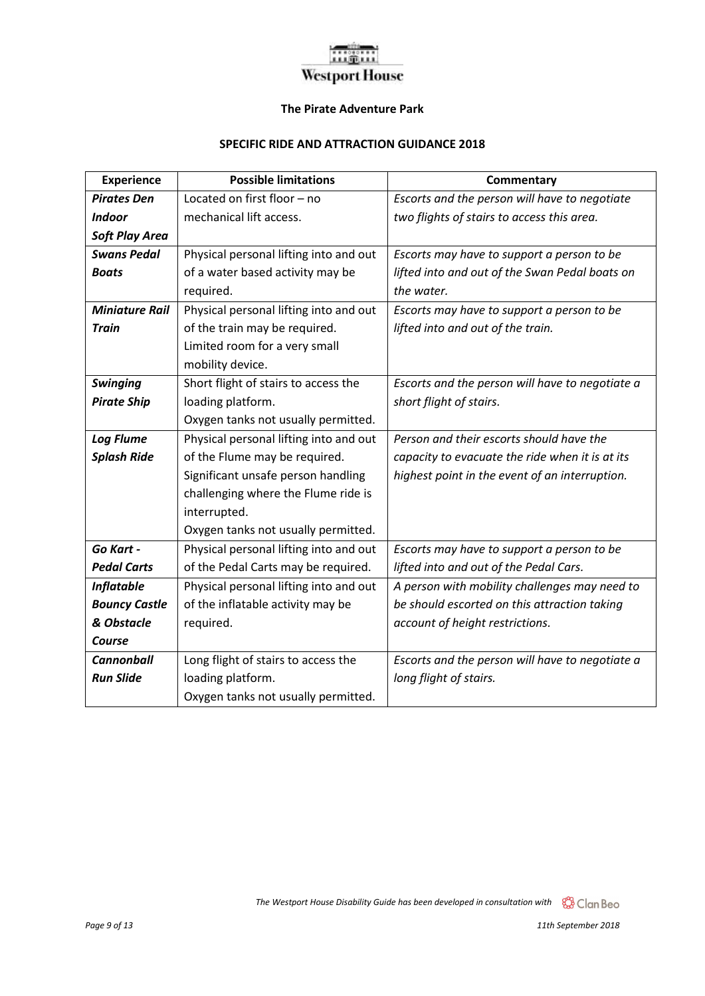#### **The Pirate Adventure Park**

#### **SPECIFIC RIDE AND ATTRACTION GUIDANCE 2018**

| <b>Experience</b>     | <b>Possible limitations</b>            | <b>Commentary</b>                               |
|-----------------------|----------------------------------------|-------------------------------------------------|
| <b>Pirates Den</b>    | Located on first floor - no            | Escorts and the person will have to negotiate   |
| <b>Indoor</b>         | mechanical lift access.                | two flights of stairs to access this area.      |
| <b>Soft Play Area</b> |                                        |                                                 |
| <b>Swans Pedal</b>    | Physical personal lifting into and out | Escorts may have to support a person to be      |
| <b>Boats</b>          | of a water based activity may be       | lifted into and out of the Swan Pedal boats on  |
|                       | required.                              | the water.                                      |
| <b>Miniature Rail</b> | Physical personal lifting into and out | Escorts may have to support a person to be      |
| <b>Train</b>          | of the train may be required.          | lifted into and out of the train.               |
|                       | Limited room for a very small          |                                                 |
|                       | mobility device.                       |                                                 |
| <b>Swinging</b>       | Short flight of stairs to access the   | Escorts and the person will have to negotiate a |
| <b>Pirate Ship</b>    | loading platform.                      | short flight of stairs.                         |
|                       | Oxygen tanks not usually permitted.    |                                                 |
| <b>Log Flume</b>      | Physical personal lifting into and out | Person and their escorts should have the        |
| <b>Splash Ride</b>    | of the Flume may be required.          | capacity to evacuate the ride when it is at its |
|                       | Significant unsafe person handling     | highest point in the event of an interruption.  |
|                       | challenging where the Flume ride is    |                                                 |
|                       | interrupted.                           |                                                 |
|                       | Oxygen tanks not usually permitted.    |                                                 |
| Go Kart -             | Physical personal lifting into and out | Escorts may have to support a person to be      |
| <b>Pedal Carts</b>    | of the Pedal Carts may be required.    | lifted into and out of the Pedal Cars.          |
| <b>Inflatable</b>     | Physical personal lifting into and out | A person with mobility challenges may need to   |
| <b>Bouncy Castle</b>  | of the inflatable activity may be      | be should escorted on this attraction taking    |
| & Obstacle            | required.                              | account of height restrictions.                 |
| Course                |                                        |                                                 |
| <b>Cannonball</b>     | Long flight of stairs to access the    | Escorts and the person will have to negotiate a |
| <b>Run Slide</b>      | loading platform.                      | long flight of stairs.                          |
|                       | Oxygen tanks not usually permitted.    |                                                 |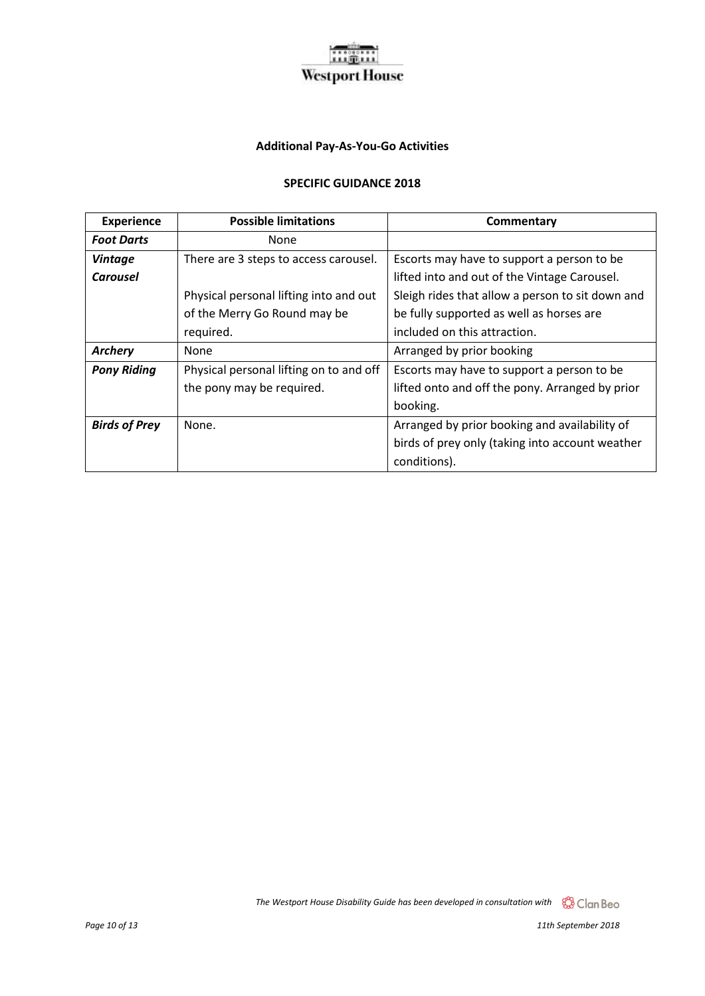#### **Additional Pay-As-You-Go Activities**

#### **SPECIFIC GUIDANCE 2018**

| <b>Experience</b>    | <b>Possible limitations</b>             | Commentary                                       |
|----------------------|-----------------------------------------|--------------------------------------------------|
| <b>Foot Darts</b>    | None                                    |                                                  |
| <b>Vintage</b>       | There are 3 steps to access carousel.   | Escorts may have to support a person to be       |
| <b>Carousel</b>      |                                         | lifted into and out of the Vintage Carousel.     |
|                      | Physical personal lifting into and out  | Sleigh rides that allow a person to sit down and |
|                      | of the Merry Go Round may be            | be fully supported as well as horses are         |
|                      | required.                               | included on this attraction.                     |
| <b>Archery</b>       | None                                    | Arranged by prior booking                        |
| <b>Pony Riding</b>   | Physical personal lifting on to and off | Escorts may have to support a person to be       |
|                      | the pony may be required.               | lifted onto and off the pony. Arranged by prior  |
|                      |                                         | booking.                                         |
| <b>Birds of Prey</b> | None.                                   | Arranged by prior booking and availability of    |
|                      |                                         | birds of prey only (taking into account weather  |
|                      |                                         | conditions).                                     |

*The Westport House Disability Guide has been developed in consultation with* 

*Page 10 of 13 11th September 2018*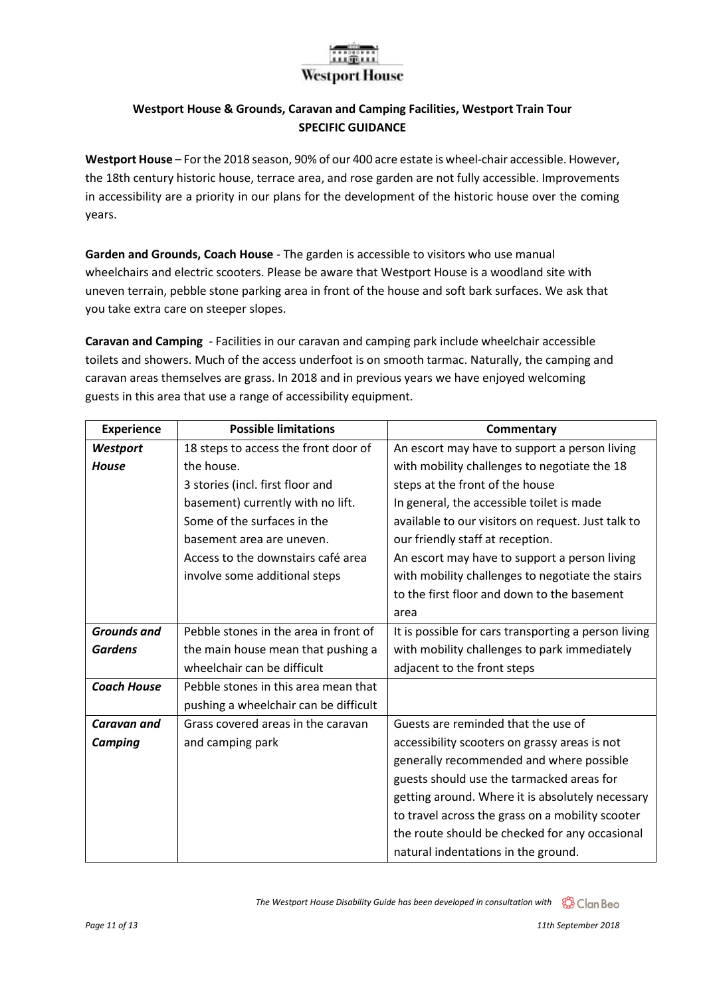#### **Westport House & Grounds, Caravan and Camping Facilities, Westport Train Tour SPECIFIC GUIDANCE**

**Westport House** – For the 2018 season, 90% of our 400 acre estate is wheel-chair accessible. However, the 18th century historic house, terrace area, and rose garden are not fully accessible. Improvements in accessibility are a priority in our plans for the development of the historic house over the coming years.

**Garden and Grounds, Coach House** - The garden is accessible to visitors who use manual wheelchairs and electric scooters. Please be aware that Westport House is a woodland site with uneven terrain, pebble stone parking area in front of the house and soft bark surfaces. We ask that you take extra care on steeper slopes.

**Caravan and Camping** - Facilities in our caravan and camping park include wheelchair accessible toilets and showers. Much of the access underfoot is on smooth tarmac. Naturally, the camping and caravan areas themselves are grass. In 2018 and in previous years we have enjoyed welcoming guests in this area that use a range of accessibility equipment.

| <b>Experience</b>  | <b>Possible limitations</b>           | <b>Commentary</b>                                    |
|--------------------|---------------------------------------|------------------------------------------------------|
| Westport           | 18 steps to access the front door of  | An escort may have to support a person living        |
| <b>House</b>       | the house.                            | with mobility challenges to negotiate the 18         |
|                    | 3 stories (incl. first floor and      | steps at the front of the house                      |
|                    | basement) currently with no lift.     | In general, the accessible toilet is made            |
|                    | Some of the surfaces in the           | available to our visitors on request. Just talk to   |
|                    | basement area are uneven.             | our friendly staff at reception.                     |
|                    | Access to the downstairs café area    | An escort may have to support a person living        |
|                    | involve some additional steps         | with mobility challenges to negotiate the stairs     |
|                    |                                       | to the first floor and down to the basement          |
|                    |                                       | area                                                 |
| <b>Grounds and</b> | Pebble stones in the area in front of | It is possible for cars transporting a person living |
| <b>Gardens</b>     | the main house mean that pushing a    | with mobility challenges to park immediately         |
|                    | wheelchair can be difficult           | adjacent to the front steps                          |
| <b>Coach House</b> | Pebble stones in this area mean that  |                                                      |
|                    | pushing a wheelchair can be difficult |                                                      |
| <b>Caravan and</b> | Grass covered areas in the caravan    | Guests are reminded that the use of                  |
| <b>Camping</b>     | and camping park                      | accessibility scooters on grassy areas is not        |
|                    |                                       | generally recommended and where possible             |
|                    |                                       | guests should use the tarmacked areas for            |
|                    |                                       | getting around. Where it is absolutely necessary     |
|                    |                                       | to travel across the grass on a mobility scooter     |
|                    |                                       | the route should be checked for any occasional       |
|                    |                                       | natural indentations in the ground.                  |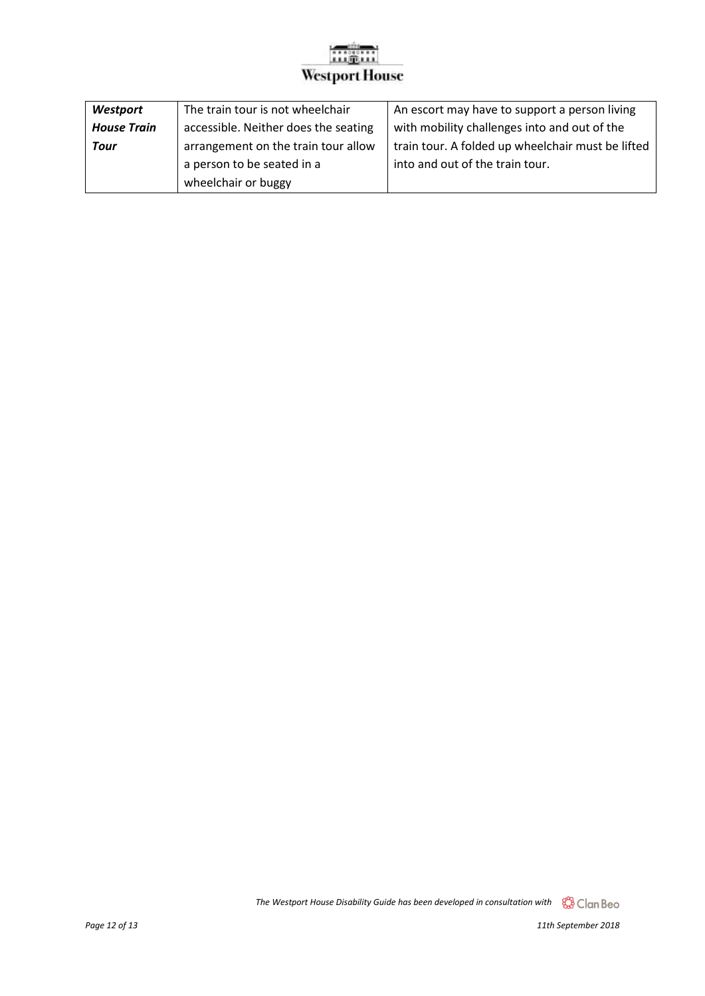| Westport           | The train tour is not wheelchair     | An escort may have to support a person living     |
|--------------------|--------------------------------------|---------------------------------------------------|
| <b>House Train</b> | accessible. Neither does the seating | with mobility challenges into and out of the      |
| <b>Tour</b>        | arrangement on the train tour allow  | train tour. A folded up wheelchair must be lifted |
|                    | a person to be seated in a           | into and out of the train tour.                   |
|                    | wheelchair or buggy                  |                                                   |